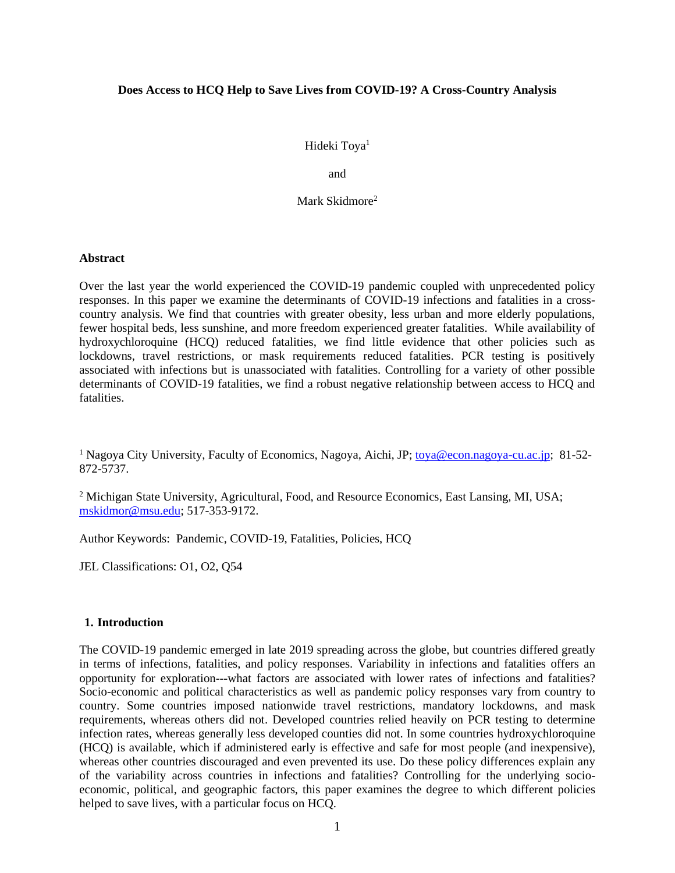## **Does Access to HCQ Help to Save Lives from COVID-19? A Cross-Country Analysis**

Hideki Toya<sup>1</sup>

and

Mark Skidmore<sup>2</sup>

#### **Abstract**

Over the last year the world experienced the COVID-19 pandemic coupled with unprecedented policy responses. In this paper we examine the determinants of COVID-19 infections and fatalities in a crosscountry analysis. We find that countries with greater obesity, less urban and more elderly populations, fewer hospital beds, less sunshine, and more freedom experienced greater fatalities. While availability of hydroxychloroquine (HCQ) reduced fatalities, we find little evidence that other policies such as lockdowns, travel restrictions, or mask requirements reduced fatalities. PCR testing is positively associated with infections but is unassociated with fatalities. Controlling for a variety of other possible determinants of COVID-19 fatalities, we find a robust negative relationship between access to HCQ and fatalities.

<sup>1</sup> Nagoya City University, Faculty of Economics, Nagoya, Aichi, JP[; toya@econ.nagoya-cu.ac.jp;](mailto:toya@econ.nagoya-cu.ac.jp) 81-52-872-5737.

<sup>2</sup> Michigan State University, Agricultural, Food, and Resource Economics, East Lansing, MI, USA; [mskidmor@msu.edu;](mailto:mskidmor@msu.edu) 517-353-9172.

Author Keywords: Pandemic, COVID-19, Fatalities, Policies, HCQ

JEL Classifications: O1, O2, Q54

#### **1. Introduction**

The COVID-19 pandemic emerged in late 2019 spreading across the globe, but countries differed greatly in terms of infections, fatalities, and policy responses. Variability in infections and fatalities offers an opportunity for exploration---what factors are associated with lower rates of infections and fatalities? Socio-economic and political characteristics as well as pandemic policy responses vary from country to country. Some countries imposed nationwide travel restrictions, mandatory lockdowns, and mask requirements, whereas others did not. Developed countries relied heavily on PCR testing to determine infection rates, whereas generally less developed counties did not. In some countries hydroxychloroquine (HCQ) is available, which if administered early is effective and safe for most people (and inexpensive), whereas other countries discouraged and even prevented its use. Do these policy differences explain any of the variability across countries in infections and fatalities? Controlling for the underlying socioeconomic, political, and geographic factors, this paper examines the degree to which different policies helped to save lives, with a particular focus on HCQ.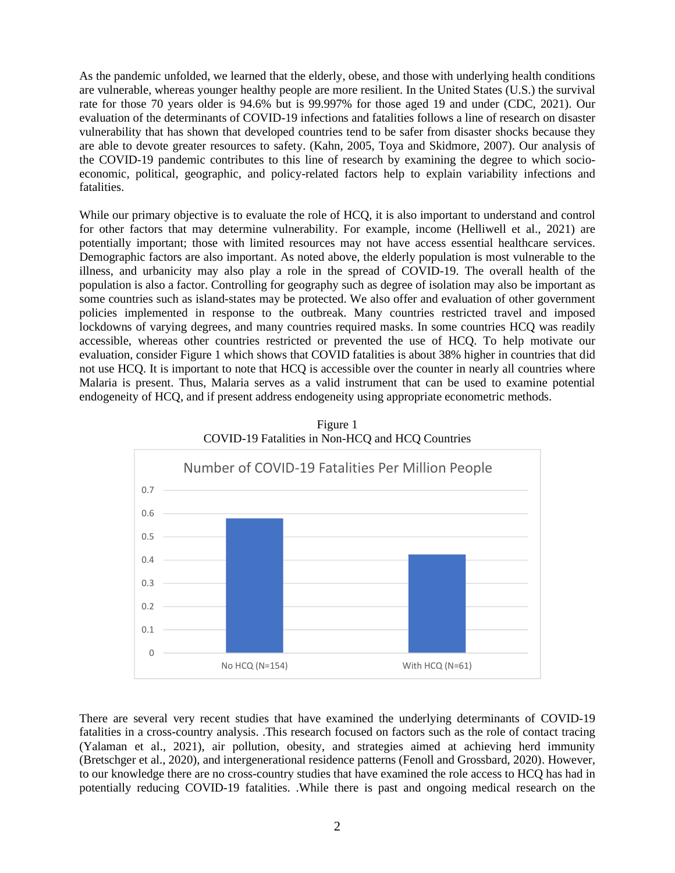As the pandemic unfolded, we learned that the elderly, obese, and those with underlying health conditions are vulnerable, whereas younger healthy people are more resilient. In the United States (U.S.) the survival rate for those 70 years older is 94.6% but is 99.997% for those aged 19 and under (CDC, 2021). Our evaluation of the determinants of COVID-19 infections and fatalities follows a line of research on disaster vulnerability that has shown that developed countries tend to be safer from disaster shocks because they are able to devote greater resources to safety. (Kahn, 2005, Toya and Skidmore, 2007). Our analysis of the COVID-19 pandemic contributes to this line of research by examining the degree to which socioeconomic, political, geographic, and policy-related factors help to explain variability infections and fatalities.

While our primary objective is to evaluate the role of HCQ, it is also important to understand and control for other factors that may determine vulnerability. For example, income (Helliwell et al., 2021) are potentially important; those with limited resources may not have access essential healthcare services. Demographic factors are also important. As noted above, the elderly population is most vulnerable to the illness, and urbanicity may also play a role in the spread of COVID-19. The overall health of the population is also a factor. Controlling for geography such as degree of isolation may also be important as some countries such as island-states may be protected. We also offer and evaluation of other government policies implemented in response to the outbreak. Many countries restricted travel and imposed lockdowns of varying degrees, and many countries required masks. In some countries HCQ was readily accessible, whereas other countries restricted or prevented the use of HCQ. To help motivate our evaluation, consider Figure 1 which shows that COVID fatalities is about 38% higher in countries that did not use HCQ. It is important to note that HCQ is accessible over the counter in nearly all countries where Malaria is present. Thus, Malaria serves as a valid instrument that can be used to examine potential endogeneity of HCQ, and if present address endogeneity using appropriate econometric methods.

Figure 1



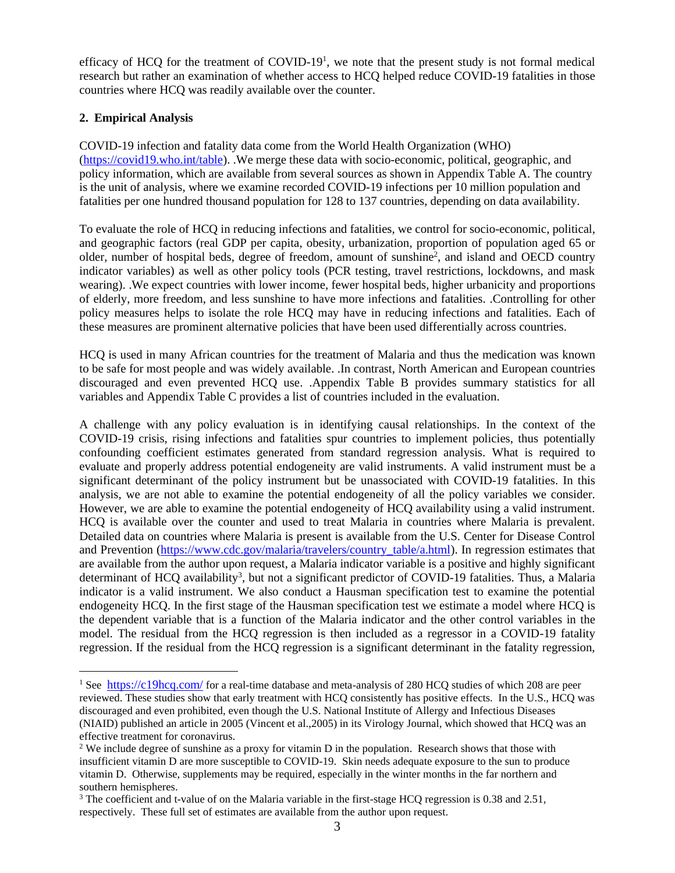efficacy of HCQ for the treatment of  $\text{COVID-19}^1$ , we note that the present study is not formal medical research but rather an examination of whether access to HCQ helped reduce COVID-19 fatalities in those countries where HCQ was readily available over the counter.

## **2. Empirical Analysis**

COVID-19 infection and fatality data come from the World Health Organization (WHO) [\(https://covid19.who.int/table\)](https://covid19.who.int/table). .We merge these data with socio-economic, political, geographic, and policy information, which are available from several sources as shown in Appendix Table A. The country is the unit of analysis, where we examine recorded COVID-19 infections per 10 million population and fatalities per one hundred thousand population for 128 to 137 countries, depending on data availability.

To evaluate the role of HCQ in reducing infections and fatalities, we control for socio-economic, political, and geographic factors (real GDP per capita, obesity, urbanization, proportion of population aged 65 or older, number of hospital beds, degree of freedom, amount of sunshine<sup>2</sup>, and island and OECD country indicator variables) as well as other policy tools (PCR testing, travel restrictions, lockdowns, and mask wearing). .We expect countries with lower income, fewer hospital beds, higher urbanicity and proportions of elderly, more freedom, and less sunshine to have more infections and fatalities. .Controlling for other policy measures helps to isolate the role HCQ may have in reducing infections and fatalities. Each of these measures are prominent alternative policies that have been used differentially across countries.

HCQ is used in many African countries for the treatment of Malaria and thus the medication was known to be safe for most people and was widely available. .In contrast, North American and European countries discouraged and even prevented HCQ use. .Appendix Table B provides summary statistics for all variables and Appendix Table C provides a list of countries included in the evaluation.

A challenge with any policy evaluation is in identifying causal relationships. In the context of the COVID-19 crisis, rising infections and fatalities spur countries to implement policies, thus potentially confounding coefficient estimates generated from standard regression analysis. What is required to evaluate and properly address potential endogeneity are valid instruments. A valid instrument must be a significant determinant of the policy instrument but be unassociated with COVID-19 fatalities. In this analysis, we are not able to examine the potential endogeneity of all the policy variables we consider. However, we are able to examine the potential endogeneity of HCQ availability using a valid instrument. HCQ is available over the counter and used to treat Malaria in countries where Malaria is prevalent. Detailed data on countries where Malaria is present is available from the U.S. Center for Disease Control and Prevention [\(https://www.cdc.gov/malaria/travelers/country\\_table/a.html\)](https://www.cdc.gov/malaria/travelers/country_table/a.html). In regression estimates that are available from the author upon request, a Malaria indicator variable is a positive and highly significant determinant of HCQ availability<sup>3</sup>, but not a significant predictor of COVID-19 fatalities. Thus, a Malaria indicator is a valid instrument. We also conduct a Hausman specification test to examine the potential endogeneity HCQ. In the first stage of the Hausman specification test we estimate a model where HCQ is the dependent variable that is a function of the Malaria indicator and the other control variables in the model. The residual from the HCQ regression is then included as a regressor in a COVID-19 fatality regression. If the residual from the HCQ regression is a significant determinant in the fatality regression,

<sup>&</sup>lt;sup>1</sup> See <https://c19hcq.com/> for a real-time database and meta-analysis of 280 HCQ studies of which 208 are peer reviewed. These studies show that early treatment with HCQ consistently has positive effects. In the U.S., HCQ was discouraged and even prohibited, even though the U.S. National Institute of Allergy and Infectious Diseases (NIAID) published an article in 2005 (Vincent et al.,2005) in its Virology Journal, which showed that HCQ was an effective treatment for coronavirus.

<sup>&</sup>lt;sup>2</sup> We include degree of sunshine as a proxy for vitamin D in the population. Research shows that those with insufficient vitamin D are more susceptible to COVID-19. Skin needs adequate exposure to the sun to produce vitamin D. Otherwise, supplements may be required, especially in the winter months in the far northern and southern hemispheres.

<sup>&</sup>lt;sup>3</sup> The coefficient and t-value of on the Malaria variable in the first-stage HCQ regression is 0.38 and 2.51, respectively. These full set of estimates are available from the author upon request.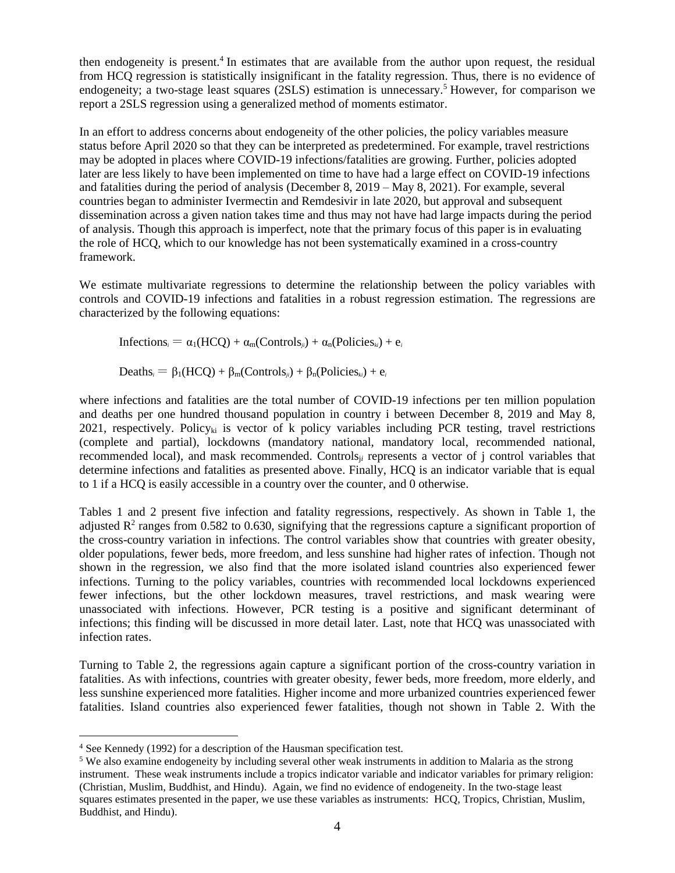then endogeneity is present.<sup>4</sup> In estimates that are available from the author upon request, the residual from HCQ regression is statistically insignificant in the fatality regression. Thus, there is no evidence of endogeneity; a two-stage least squares (2SLS) estimation is unnecessary.<sup>5</sup> However, for comparison we report a 2SLS regression using a generalized method of moments estimator.

In an effort to address concerns about endogeneity of the other policies, the policy variables measure status before April 2020 so that they can be interpreted as predetermined. For example, travel restrictions may be adopted in places where COVID-19 infections/fatalities are growing. Further, policies adopted later are less likely to have been implemented on time to have had a large effect on COVID-19 infections and fatalities during the period of analysis (December 8, 2019 – May 8, 2021). For example, several countries began to administer Ivermectin and Remdesivir in late 2020, but approval and subsequent dissemination across a given nation takes time and thus may not have had large impacts during the period of analysis. Though this approach is imperfect, note that the primary focus of this paper is in evaluating the role of HCQ, which to our knowledge has not been systematically examined in a cross-country framework.

We estimate multivariate regressions to determine the relationship between the policy variables with controls and COVID-19 infections and fatalities in a robust regression estimation. The regressions are characterized by the following equations:

Infections<sub>*i*</sub> =  $\alpha_1(HCO) + \alpha_m(Controls_{ji}) + \alpha_n(Policies_{ki}) + e_i$ 

 $\text{Deaths}_i = \beta_1(\text{HCO}) + \beta_m(\text{Controls}_{ii}) + \beta_n(\text{Policies}_{ki}) + e_i$ 

where infections and fatalities are the total number of COVID-19 infections per ten million population and deaths per one hundred thousand population in country i between December 8, 2019 and May 8, 2021, respectively. Policy<sub>ki</sub> is vector of k policy variables including PCR testing, travel restrictions (complete and partial), lockdowns (mandatory national, mandatory local, recommended national, recommended local), and mask recommended. Controlsj*<sup>i</sup>* represents a vector of j control variables that determine infections and fatalities as presented above. Finally, HCQ is an indicator variable that is equal to 1 if a HCQ is easily accessible in a country over the counter, and 0 otherwise.

Tables 1 and 2 present five infection and fatality regressions, respectively. As shown in Table 1, the adjusted  $\mathbb{R}^2$  ranges from 0.582 to 0.630, signifying that the regressions capture a significant proportion of the cross-country variation in infections. The control variables show that countries with greater obesity, older populations, fewer beds, more freedom, and less sunshine had higher rates of infection. Though not shown in the regression, we also find that the more isolated island countries also experienced fewer infections. Turning to the policy variables, countries with recommended local lockdowns experienced fewer infections, but the other lockdown measures, travel restrictions, and mask wearing were unassociated with infections. However, PCR testing is a positive and significant determinant of infections; this finding will be discussed in more detail later. Last, note that HCQ was unassociated with infection rates.

Turning to Table 2, the regressions again capture a significant portion of the cross-country variation in fatalities. As with infections, countries with greater obesity, fewer beds, more freedom, more elderly, and less sunshine experienced more fatalities. Higher income and more urbanized countries experienced fewer fatalities. Island countries also experienced fewer fatalities, though not shown in Table 2. With the

<sup>4</sup> See Kennedy (1992) for a description of the Hausman specification test.

<sup>5</sup> We also examine endogeneity by including several other weak instruments in addition to Malaria as the strong instrument. These weak instruments include a tropics indicator variable and indicator variables for primary religion: (Christian, Muslim, Buddhist, and Hindu). Again, we find no evidence of endogeneity. In the two-stage least squares estimates presented in the paper, we use these variables as instruments: HCQ, Tropics, Christian, Muslim, Buddhist, and Hindu).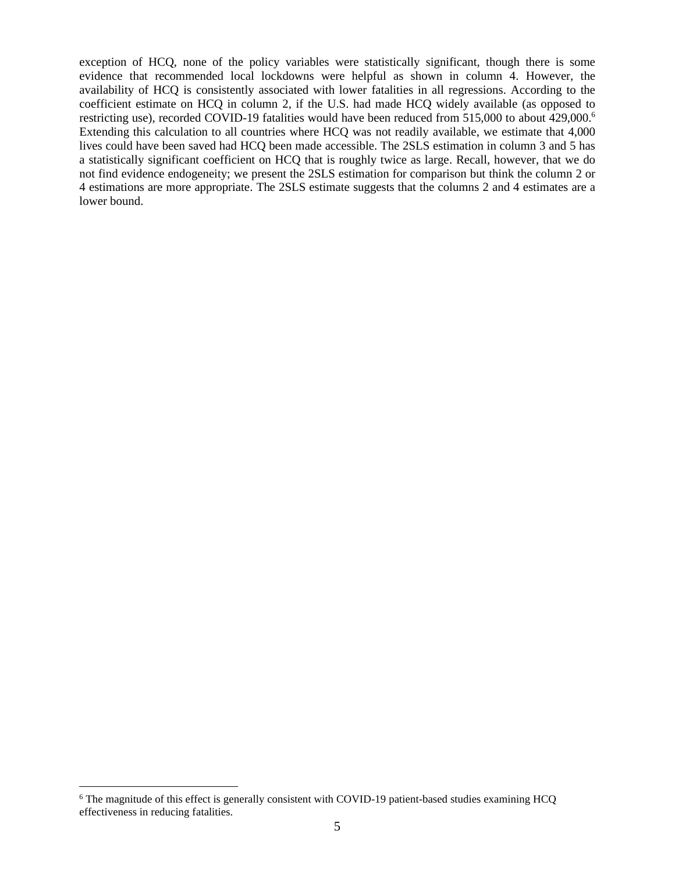exception of HCQ, none of the policy variables were statistically significant, though there is some evidence that recommended local lockdowns were helpful as shown in column 4. However, the availability of HCQ is consistently associated with lower fatalities in all regressions. According to the coefficient estimate on HCQ in column 2, if the U.S. had made HCQ widely available (as opposed to restricting use), recorded COVID-19 fatalities would have been reduced from 515,000 to about 429,000.<sup>6</sup> Extending this calculation to all countries where HCQ was not readily available, we estimate that 4,000 lives could have been saved had HCQ been made accessible. The 2SLS estimation in column 3 and 5 has a statistically significant coefficient on HCQ that is roughly twice as large. Recall, however, that we do not find evidence endogeneity; we present the 2SLS estimation for comparison but think the column 2 or 4 estimations are more appropriate. The 2SLS estimate suggests that the columns 2 and 4 estimates are a lower bound.

<sup>&</sup>lt;sup>6</sup> The magnitude of this effect is generally consistent with COVID-19 patient-based studies examining HCQ effectiveness in reducing fatalities.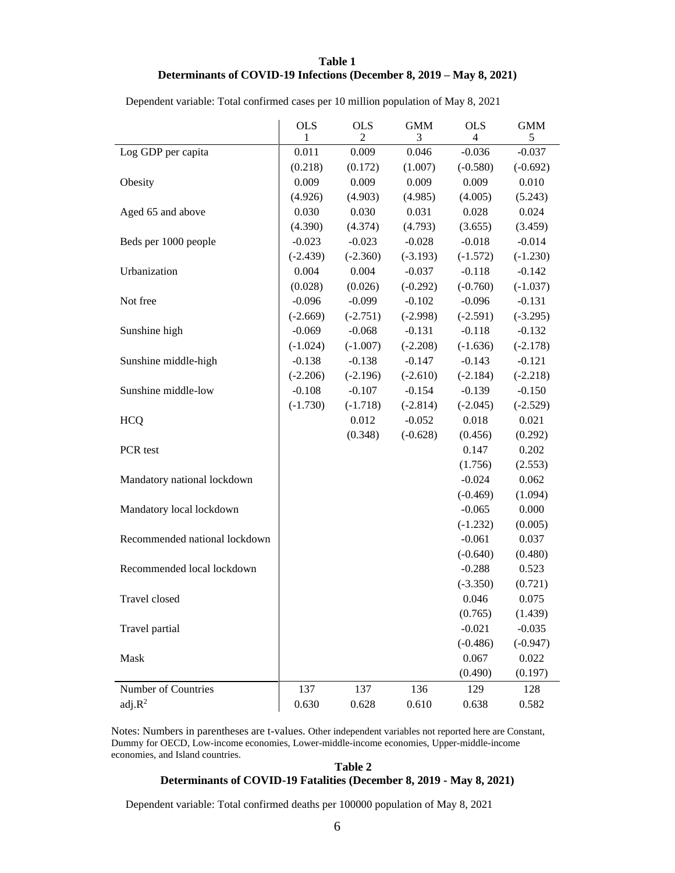### **Table 1 Determinants of COVID-19 Infections (December 8, 2019 – May 8, 2021)**

|                               | <b>OLS</b> | <b>OLS</b> | <b>GMM</b> | <b>OLS</b> | <b>GMM</b> |
|-------------------------------|------------|------------|------------|------------|------------|
|                               | 1          | 2          | 3          | 4          | 5          |
| Log GDP per capita            | 0.011      | 0.009      | 0.046      | $-0.036$   | $-0.037$   |
|                               | (0.218)    | (0.172)    | (1.007)    | $(-0.580)$ | $(-0.692)$ |
| Obesity                       | 0.009      | 0.009      | 0.009      | 0.009      | 0.010      |
|                               | (4.926)    | (4.903)    | (4.985)    | (4.005)    | (5.243)    |
| Aged 65 and above             | 0.030      | 0.030      | 0.031      | 0.028      | 0.024      |
|                               | (4.390)    | (4.374)    | (4.793)    | (3.655)    | (3.459)    |
| Beds per 1000 people          | $-0.023$   | $-0.023$   | $-0.028$   | $-0.018$   | $-0.014$   |
|                               | $(-2.439)$ | $(-2.360)$ | $(-3.193)$ | $(-1.572)$ | $(-1.230)$ |
| Urbanization                  | 0.004      | 0.004      | $-0.037$   | $-0.118$   | $-0.142$   |
|                               | (0.028)    | (0.026)    | $(-0.292)$ | $(-0.760)$ | $(-1.037)$ |
| Not free                      | $-0.096$   | $-0.099$   | $-0.102$   | $-0.096$   | $-0.131$   |
|                               | $(-2.669)$ | $(-2.751)$ | $(-2.998)$ | $(-2.591)$ | $(-3.295)$ |
| Sunshine high                 | $-0.069$   | $-0.068$   | $-0.131$   | $-0.118$   | $-0.132$   |
|                               | $(-1.024)$ | $(-1.007)$ | $(-2.208)$ | $(-1.636)$ | $(-2.178)$ |
| Sunshine middle-high          | $-0.138$   | $-0.138$   | $-0.147$   | $-0.143$   | $-0.121$   |
|                               | $(-2.206)$ | $(-2.196)$ | $(-2.610)$ | $(-2.184)$ | $(-2.218)$ |
| Sunshine middle-low           | $-0.108$   | $-0.107$   | $-0.154$   | $-0.139$   | $-0.150$   |
|                               | $(-1.730)$ | $(-1.718)$ | $(-2.814)$ | $(-2.045)$ | $(-2.529)$ |
| <b>HCQ</b>                    |            | 0.012      | $-0.052$   | 0.018      | 0.021      |
|                               |            | (0.348)    | $(-0.628)$ | (0.456)    | (0.292)    |
| PCR test                      |            |            |            | 0.147      | 0.202      |
|                               |            |            |            | (1.756)    | (2.553)    |
| Mandatory national lockdown   |            |            |            | $-0.024$   | 0.062      |
|                               |            |            |            | $(-0.469)$ | (1.094)    |
| Mandatory local lockdown      |            |            |            | $-0.065$   | 0.000      |
|                               |            |            |            | $(-1.232)$ | (0.005)    |
| Recommended national lockdown |            |            |            | $-0.061$   | 0.037      |
|                               |            |            |            | $(-0.640)$ | (0.480)    |
| Recommended local lockdown    |            |            |            | $-0.288$   | 0.523      |
|                               |            |            |            | $(-3.350)$ | (0.721)    |
| Travel closed                 |            |            |            | 0.046      | 0.075      |
|                               |            |            |            | (0.765)    | (1.439)    |
| Travel partial                |            |            |            | $-0.021$   | $-0.035$   |
|                               |            |            |            | $(-0.486)$ | $(-0.947)$ |
| Mask                          |            |            |            | 0.067      | 0.022      |
|                               |            |            |            | (0.490)    | (0.197)    |
| Number of Countries           | 137        | 137        | 136        | 129        | 128        |
| adj.R <sup>2</sup>            | 0.630      | 0.628      | 0.610      | 0.638      | 0.582      |

Dependent variable: Total confirmed cases per 10 million population of May 8, 2021

Notes: Numbers in parentheses are t-values. Other independent variables not reported here are Constant, Dummy for OECD, Low-income economies, Lower-middle-income economies, Upper-middle-income economies, and Island countries.

#### **Table 2 Determinants of COVID-19 Fatalities (December 8, 2019 - May 8, 2021)**

Dependent variable: Total confirmed deaths per 100000 population of May 8, 2021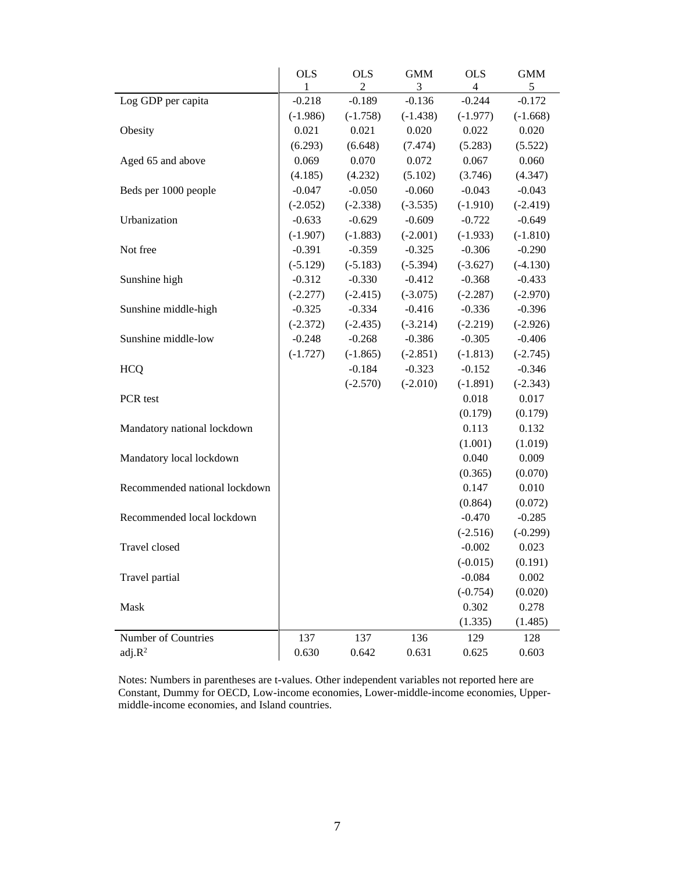|                               | <b>OLS</b> | <b>OLS</b> | <b>GMM</b> | <b>OLS</b> | <b>GMM</b> |
|-------------------------------|------------|------------|------------|------------|------------|
|                               | 1          | 2          | 3          | 4          | 5          |
| Log GDP per capita            | $-0.218$   | $-0.189$   | $-0.136$   | $-0.244$   | $-0.172$   |
|                               | $(-1.986)$ | $(-1.758)$ | $(-1.438)$ | $(-1.977)$ | $(-1.668)$ |
| Obesity                       | 0.021      | 0.021      | 0.020      | 0.022      | 0.020      |
|                               | (6.293)    | (6.648)    | (7.474)    | (5.283)    | (5.522)    |
| Aged 65 and above             | 0.069      | 0.070      | 0.072      | 0.067      | 0.060      |
|                               | (4.185)    | (4.232)    | (5.102)    | (3.746)    | (4.347)    |
| Beds per 1000 people          | $-0.047$   | $-0.050$   | $-0.060$   | $-0.043$   | $-0.043$   |
|                               | $(-2.052)$ | $(-2.338)$ | $(-3.535)$ | $(-1.910)$ | $(-2.419)$ |
| Urbanization                  | $-0.633$   | $-0.629$   | $-0.609$   | $-0.722$   | $-0.649$   |
|                               | $(-1.907)$ | $(-1.883)$ | $(-2.001)$ | $(-1.933)$ | $(-1.810)$ |
| Not free                      | $-0.391$   | $-0.359$   | $-0.325$   | $-0.306$   | $-0.290$   |
|                               | $(-5.129)$ | $(-5.183)$ | $(-5.394)$ | $(-3.627)$ | $(-4.130)$ |
| Sunshine high                 | $-0.312$   | $-0.330$   | $-0.412$   | $-0.368$   | $-0.433$   |
|                               | $(-2.277)$ | $(-2.415)$ | $(-3.075)$ | $(-2.287)$ | $(-2.970)$ |
| Sunshine middle-high          | $-0.325$   | $-0.334$   | $-0.416$   | $-0.336$   | $-0.396$   |
|                               | $(-2.372)$ | $(-2.435)$ | $(-3.214)$ | $(-2.219)$ | $(-2.926)$ |
| Sunshine middle-low           | $-0.248$   | $-0.268$   | $-0.386$   | $-0.305$   | $-0.406$   |
|                               | $(-1.727)$ | $(-1.865)$ | $(-2.851)$ | $(-1.813)$ | $(-2.745)$ |
| <b>HCQ</b>                    |            | $-0.184$   | $-0.323$   | $-0.152$   | $-0.346$   |
|                               |            | $(-2.570)$ | $(-2.010)$ | $(-1.891)$ | $(-2.343)$ |
| PCR test                      |            |            |            | 0.018      | 0.017      |
|                               |            |            |            | (0.179)    | (0.179)    |
| Mandatory national lockdown   |            |            |            | 0.113      | 0.132      |
|                               |            |            |            | (1.001)    | (1.019)    |
| Mandatory local lockdown      |            |            |            | 0.040      | 0.009      |
|                               |            |            |            | (0.365)    | (0.070)    |
| Recommended national lockdown |            |            |            | 0.147      | 0.010      |
|                               |            |            |            | (0.864)    | (0.072)    |
| Recommended local lockdown    |            |            |            | $-0.470$   | $-0.285$   |
|                               |            |            |            | $(-2.516)$ | $(-0.299)$ |
| Travel closed                 |            |            |            | $-0.002$   | 0.023      |
|                               |            |            |            | $(-0.015)$ | (0.191)    |
| Travel partial                |            |            |            | $-0.084$   | 0.002      |
|                               |            |            |            | $(-0.754)$ | (0.020)    |
| Mask                          |            |            |            | 0.302      | 0.278      |
|                               |            |            |            | (1.335)    | (1.485)    |
| Number of Countries           | 137        | 137        | 136        | 129        | 128        |
| adj.R <sup>2</sup>            | 0.630      | 0.642      | 0.631      | 0.625      | 0.603      |

Notes: Numbers in parentheses are t-values. Other independent variables not reported here are Constant, Dummy for OECD, Low-income economies, Lower-middle-income economies, Uppermiddle-income economies, and Island countries.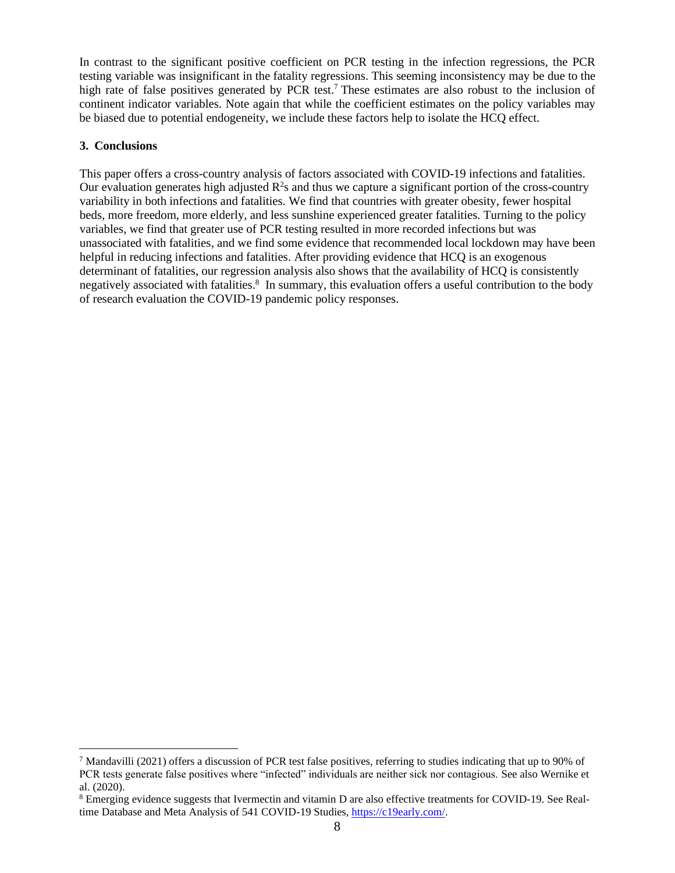In contrast to the significant positive coefficient on PCR testing in the infection regressions, the PCR testing variable was insignificant in the fatality regressions. This seeming inconsistency may be due to the high rate of false positives generated by PCR test.<sup>7</sup> These estimates are also robust to the inclusion of continent indicator variables. Note again that while the coefficient estimates on the policy variables may be biased due to potential endogeneity, we include these factors help to isolate the HCQ effect.

# **3. Conclusions**

This paper offers a cross-country analysis of factors associated with COVID-19 infections and fatalities. Our evaluation generates high adjusted  $R^2$ s and thus we capture a significant portion of the cross-country variability in both infections and fatalities. We find that countries with greater obesity, fewer hospital beds, more freedom, more elderly, and less sunshine experienced greater fatalities. Turning to the policy variables, we find that greater use of PCR testing resulted in more recorded infections but was unassociated with fatalities, and we find some evidence that recommended local lockdown may have been helpful in reducing infections and fatalities. After providing evidence that HCQ is an exogenous determinant of fatalities, our regression analysis also shows that the availability of HCQ is consistently negatively associated with fatalities.<sup>8</sup> In summary, this evaluation offers a useful contribution to the body of research evaluation the COVID-19 pandemic policy responses.

<sup>7</sup> Mandavilli (2021) offers a discussion of PCR test false positives, referring to studies indicating that up to 90% of PCR tests generate false positives where "infected" individuals are neither sick nor contagious. See also Wernike et al. (2020).

<sup>8</sup> Emerging evidence suggests that Ivermectin and vitamin D are also effective treatments for COVID-19. See Realtime Database and Meta Analysis of 541 COVID-19 Studies, [https://c19early.com/.](https://c19early.com/)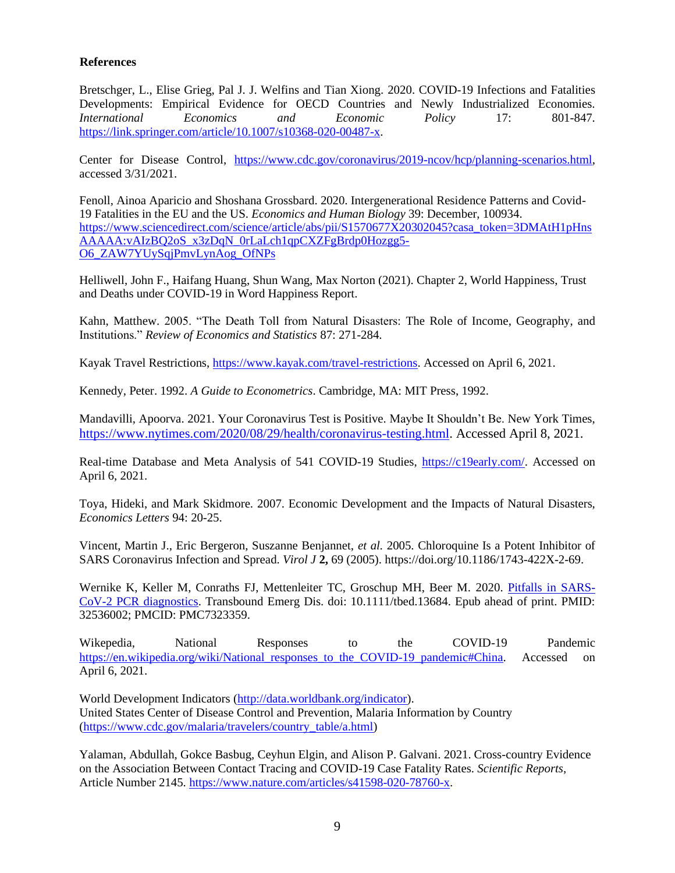## **References**

Bretschger, L., Elise Grieg, Pal J. J. Welfins and Tian Xiong. 2020. COVID-19 Infections and Fatalities Developments: Empirical Evidence for OECD Countries and Newly Industrialized Economies. *International Economics and Economic Policy* 17: 801-847. [https://link.springer.com/article/10.1007/s10368-020-00487-x.](https://link.springer.com/article/10.1007/s10368-020-00487-x)

Center for Disease Control, [https://www.cdc.gov/coronavirus/2019-ncov/hcp/planning-scenarios.html,](https://www.cdc.gov/coronavirus/2019-ncov/hcp/planning-scenarios.html) accessed 3/31/2021.

Fenoll, Ainoa Aparicio and Shoshana Grossbard. 2020. Intergenerational Residence Patterns and Covid-19 Fatalities in the EU and the US. *Economics and Human Biology* 39: December, 100934. [https://www.sciencedirect.com/science/article/abs/pii/S1570677X20302045?casa\\_token=3DMAtH1pHns](https://www.sciencedirect.com/science/article/abs/pii/S1570677X20302045?casa_token=3DMAtH1pHnsAAAAA:vAIzBQ2oS_x3zDqN_0rLaLch1qpCXZFgBrdp0Hozgg5-O6_ZAW7YUySqjPmvLynAog_OfNPs) [AAAAA:vAIzBQ2oS\\_x3zDqN\\_0rLaLch1qpCXZFgBrdp0Hozgg5-](https://www.sciencedirect.com/science/article/abs/pii/S1570677X20302045?casa_token=3DMAtH1pHnsAAAAA:vAIzBQ2oS_x3zDqN_0rLaLch1qpCXZFgBrdp0Hozgg5-O6_ZAW7YUySqjPmvLynAog_OfNPs) [O6\\_ZAW7YUySqjPmvLynAog\\_OfNPs](https://www.sciencedirect.com/science/article/abs/pii/S1570677X20302045?casa_token=3DMAtH1pHnsAAAAA:vAIzBQ2oS_x3zDqN_0rLaLch1qpCXZFgBrdp0Hozgg5-O6_ZAW7YUySqjPmvLynAog_OfNPs)

Helliwell, John F., Haifang Huang, Shun Wang, Max Norton (2021). Chapter 2, World Happiness, Trust and Deaths under COVID-19 in Word Happiness Report.

Kahn, Matthew. 2005. "The Death Toll from Natural Disasters: The Role of Income, Geography, and Institutions." *Review of Economics and Statistics* 87: 271-284.

Kayak Travel Restrictions, [https://www.kayak.com/travel-restrictions.](https://www.kayak.com/travel-restrictions) Accessed on April 6, 2021.

Kennedy, Peter. 1992. *A Guide to Econometrics*. Cambridge, MA: MIT Press, 1992.

Mandavilli, Apoorva. 2021. Your Coronavirus Test is Positive. Maybe It Shouldn't Be. New York Times, [https://www.nytimes.com/2020/08/29/health/coronavirus-testing.html.](https://www.nytimes.com/2020/08/29/health/coronavirus-testing.html?ref=oembed) Accessed April 8, 2021.

Real-time Database and Meta Analysis of 541 COVID-19 Studies, [https://c19early.com/.](https://c19early.com/) Accessed on April 6, 2021.

Toya, Hideki, and Mark Skidmore. 2007. Economic Development and the Impacts of Natural Disasters, *Economics Letters* 94: 20-25.

Vincent, Martin J., Eric Bergeron, Suszanne Benjannet, *et al.* 2005. Chloroquine Is a Potent Inhibitor of SARS Coronavirus Infection and Spread. *Virol J* **2,** 69 (2005). https://doi.org/10.1186/1743-422X-2-69.

Wernike K, Keller M, Conraths FJ, Mettenleiter TC, Groschup MH, Beer M. 2020. [Pitfalls in SARS-](https://pubmed.ncbi.nlm.nih.gov/32536002/)[CoV-2 PCR diagnostics.](https://pubmed.ncbi.nlm.nih.gov/32536002/) Transbound Emerg Dis. doi: 10.1111/tbed.13684. Epub ahead of print. PMID: 32536002; PMCID: PMC7323359.

Wikepedia, National Responses to the COVID-19 Pandemic https://en.wikipedia.org/wiki/National responses to the COVID-19 pandemic#China. Accessed on April 6, 2021.

World Development Indicators [\(http://data.worldbank.org/indicator\)](http://data.worldbank.org/indicator). United States Center of Disease Control and Prevention, Malaria Information by Country [\(https://www.cdc.gov/malaria/travelers/country\\_table/a.html\)](https://www.cdc.gov/malaria/travelers/country_table/a.html)

Yalaman, Abdullah, Gokce Basbug, Ceyhun Elgin, and Alison P. Galvani. 2021. Cross-country Evidence on the Association Between Contact Tracing and COVID-19 Case Fatality Rates. *Scientific Reports*, Article Number 2145. [https://www.nature.com/articles/s41598-020-78760-x.](https://www.nature.com/articles/s41598-020-78760-x)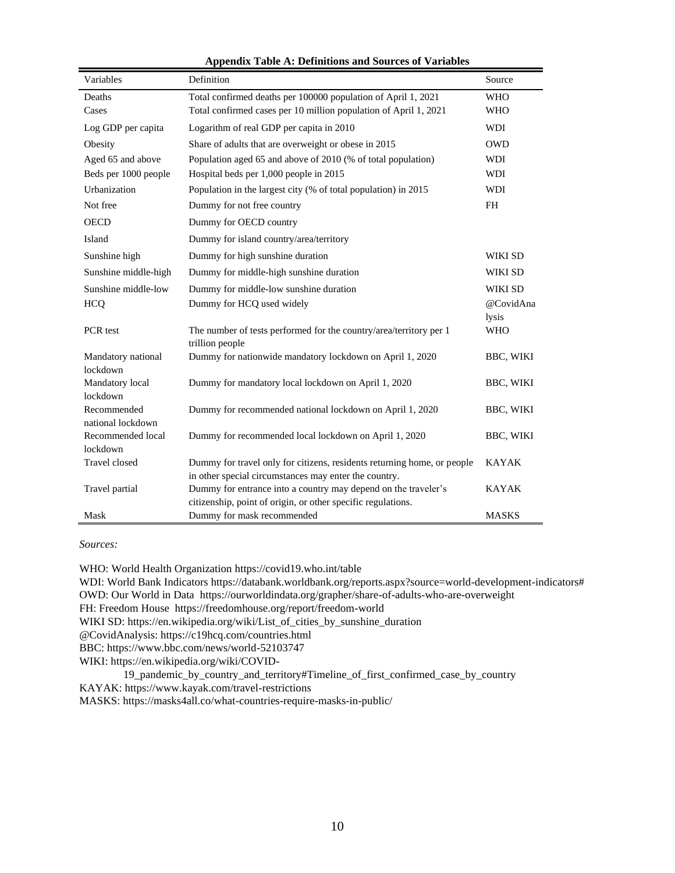| Variables                     | Definition                                                                            | Source           |
|-------------------------------|---------------------------------------------------------------------------------------|------------------|
| Deaths                        | Total confirmed deaths per 100000 population of April 1, 2021                         | <b>WHO</b>       |
| Cases                         | Total confirmed cases per 10 million population of April 1, 2021                      | <b>WHO</b>       |
| Log GDP per capita            | Logarithm of real GDP per capita in 2010                                              | <b>WDI</b>       |
| Obesity                       | Share of adults that are overweight or obese in 2015                                  | <b>OWD</b>       |
| Aged 65 and above             | Population aged 65 and above of 2010 (% of total population)                          | WDI              |
| Beds per 1000 people          | Hospital beds per 1,000 people in 2015                                                | WDI              |
| Urbanization                  | Population in the largest city (% of total population) in 2015                        | WDI              |
| Not free                      | Dummy for not free country                                                            | <b>FH</b>        |
| <b>OECD</b>                   | Dummy for OECD country                                                                |                  |
| Island                        | Dummy for island country/area/territory                                               |                  |
| Sunshine high                 | Dummy for high sunshine duration                                                      | WIKI SD          |
| Sunshine middle-high          | Dummy for middle-high sunshine duration                                               | WIKI SD          |
| Sunshine middle-low           | Dummy for middle-low sunshine duration                                                | WIKI SD          |
| <b>HCQ</b>                    | Dummy for HCQ used widely                                                             | @CovidAna        |
|                               |                                                                                       | lysis            |
| PCR test                      | The number of tests performed for the country/area/territory per 1<br>trillion people | <b>WHO</b>       |
| Mandatory national            | Dummy for nationwide mandatory lockdown on April 1, 2020                              | BBC, WIKI        |
| lockdown                      |                                                                                       |                  |
| Mandatory local               | Dummy for mandatory local lockdown on April 1, 2020                                   | <b>BBC, WIKI</b> |
| lockdown                      |                                                                                       |                  |
| Recommended                   | Dummy for recommended national lockdown on April 1, 2020                              | BBC, WIKI        |
| national lockdown             |                                                                                       |                  |
| Recommended local<br>lockdown | Dummy for recommended local lockdown on April 1, 2020                                 | BBC, WIKI        |
| Travel closed                 | Dummy for travel only for citizens, residents returning home, or people               | <b>KAYAK</b>     |
|                               | in other special circumstances may enter the country.                                 |                  |
| Travel partial                | Dummy for entrance into a country may depend on the traveler's                        | <b>KAYAK</b>     |
|                               | citizenship, point of origin, or other specific regulations.                          |                  |
| Mask                          | Dummy for mask recommended                                                            | <b>MASKS</b>     |

*Sources:*

WHO: World Health Organization https://covid19.who.int/table

WDI: World Bank Indicators https://databank.worldbank.org/reports.aspx?source=world-development-indicators# OWD: Our World in Data https://ourworldindata.org/grapher/share-of-adults-who-are-overweight

FH: Freedom House https://freedomhouse.org/report/freedom-world

WIKI SD: https://en.wikipedia.org/wiki/List\_of\_cities\_by\_sunshine\_duration

@CovidAnalysis: https://c19hcq.com/countries.html

BBC: https://www.bbc.com/news/world-52103747

WIKI: https://en.wikipedia.org/wiki/COVID-

19\_pandemic\_by\_country\_and\_territory#Timeline\_of\_first\_confirmed\_case\_by\_country KAYAK: https://www.kayak.com/travel-restrictions MASKS: https://masks4all.co/what-countries-require-masks-in-public/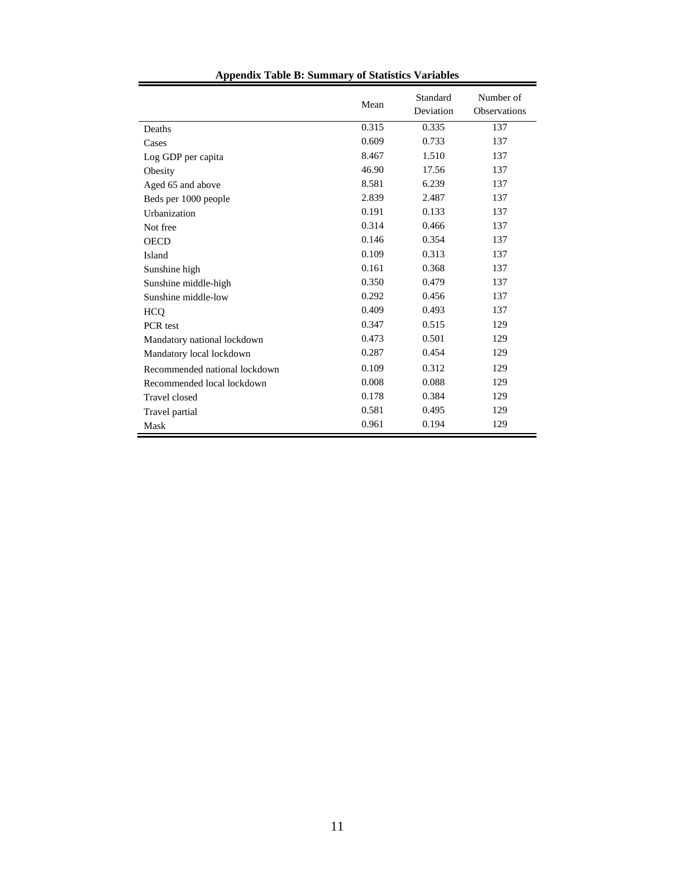|                               | Mean  | Standard<br>Deviation | Number of<br>Observations |
|-------------------------------|-------|-----------------------|---------------------------|
| Deaths                        | 0.315 | 0.335                 | 137                       |
| Cases                         | 0.609 | 0.733                 | 137                       |
| Log GDP per capita            | 8.467 | 1.510                 | 137                       |
| Obesity                       | 46.90 | 17.56                 | 137                       |
| Aged 65 and above             | 8.581 | 6.239                 | 137                       |
| Beds per 1000 people          | 2.839 | 2.487                 | 137                       |
| Urbanization                  | 0.191 | 0.133                 | 137                       |
| Not free                      | 0.314 | 0.466                 | 137                       |
| <b>OECD</b>                   | 0.146 | 0.354                 | 137                       |
| Island                        | 0.109 | 0.313                 | 137                       |
| Sunshine high                 | 0.161 | 0.368                 | 137                       |
| Sunshine middle-high          | 0.350 | 0.479                 | 137                       |
| Sunshine middle-low           | 0.292 | 0.456                 | 137                       |
| <b>HCQ</b>                    | 0.409 | 0.493                 | 137                       |
| PCR test                      | 0.347 | 0.515                 | 129                       |
| Mandatory national lockdown   | 0.473 | 0.501                 | 129                       |
| Mandatory local lockdown      | 0.287 | 0.454                 | 129                       |
| Recommended national lockdown | 0.109 | 0.312                 | 129                       |
| Recommended local lockdown    | 0.008 | 0.088                 | 129                       |
| <b>Travel</b> closed          | 0.178 | 0.384                 | 129                       |
| Travel partial                | 0.581 | 0.495                 | 129                       |
| Mask                          | 0.961 | 0.194                 | 129                       |

# **Appendix Table B: Summary of Statistics Variables**